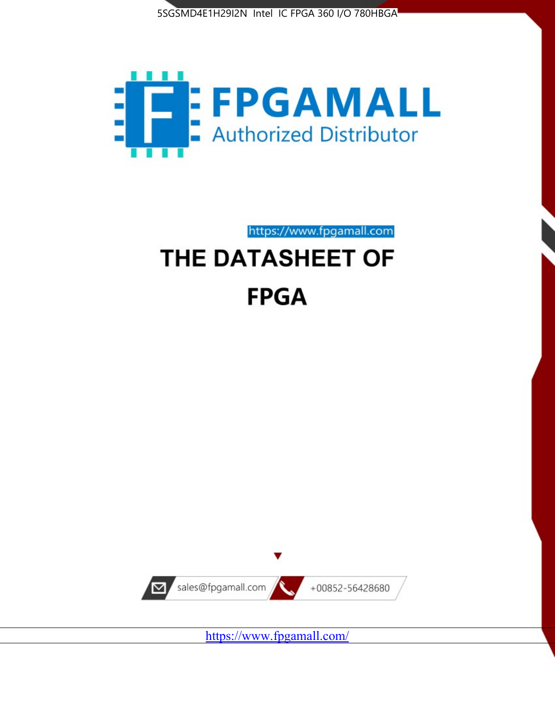



https://www.fpgamall.com

# THE DATASHEET OF **FPGA**



<https://www.fpgamall.com/>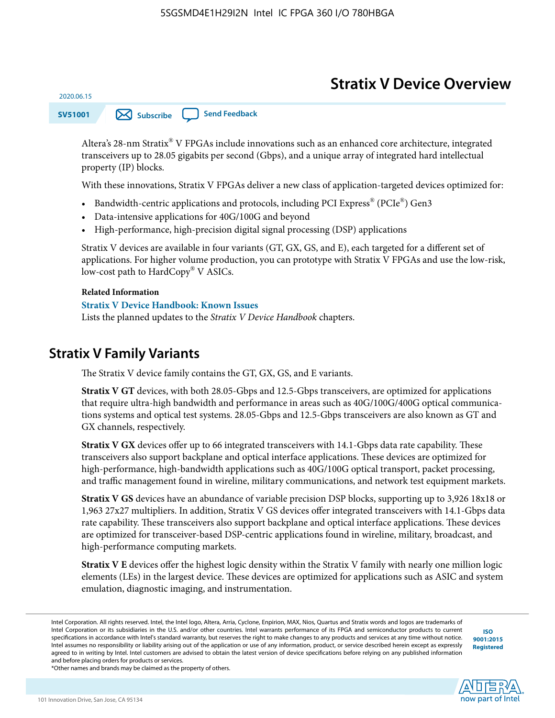# **Stratix V Device Overview**

**SV51001 [Subscribe](https://www.altera.com/servlets/subscriptions/alert?id=SV51001) [Send Feedback](mailto:FPGAtechdocfeedback@intel.com?subject=Feedback%20on%20(SV51001%202020.06.15)%20Stratix%20V%20Device%20Overview&body=We%20appreciate%20your%20feedback.%20In%20your%20comments,%20also%20specify%20the%20page%20number%20or%20paragraph.%20Thank%20you.)** 

Altera's 28-nm Stratix® V FPGAs include innovations such as an enhanced core architecture, integrated transceivers up to 28.05 gigabits per second (Gbps), and a unique array of integrated hard intellectual property (IP) blocks.

With these innovations, Stratix V FPGAs deliver a new class of application-targeted devices optimized for:

- Bandwidth-centric applications and protocols, including PCI Express® (PCIe®) Gen3
- Data-intensive applications for 40G/100G and beyond
- High-performance, high-precision digital signal processing (DSP) applications

Stratix V devices are available in four variants (GT, GX, GS, and E), each targeted for a different set of applications. For higher volume production, you can prototype with Stratix V FPGAs and use the low-risk, low-cost path to HardCopy® V ASICs.

#### **Related Information**

2020.06.15

#### **[Stratix V Device Handbook: Known Issues](http://www.altera.com/support/kdb/solutions/rd08242010_83.html)**

Lists the planned updates to the *Stratix V Device Handbook* chapters.

### **Stratix V Family Variants**

The Stratix V device family contains the GT, GX, GS, and E variants.

**Stratix V GT** devices, with both 28.05-Gbps and 12.5-Gbps transceivers, are optimized for applications that require ultra-high bandwidth and performance in areas such as 40G/100G/400G optical communica‐ tions systems and optical test systems. 28.05-Gbps and 12.5-Gbps transceivers are also known as GT and GX channels, respectively.

**Stratix V GX** devices offer up to 66 integrated transceivers with 14.1-Gbps data rate capability. These transceivers also support backplane and optical interface applications. These devices are optimized for high-performance, high-bandwidth applications such as 40G/100G optical transport, packet processing, and traffic management found in wireline, military communications, and network test equipment markets.

**Stratix V GS** devices have an abundance of variable precision DSP blocks, supporting up to 3,926 18x18 or 1,963 27x27 multipliers. In addition, Stratix V GS devices offer integrated transceivers with 14.1-Gbps data rate capability. These transceivers also support backplane and optical interface applications. These devices are optimized for transceiver-based DSP-centric applications found in wireline, military, broadcast, and high-performance computing markets.

**Stratix V E** devices offer the highest logic density within the Stratix V family with nearly one million logic elements (LEs) in the largest device. These devices are optimized for applications such as ASIC and system emulation, diagnostic imaging, and instrumentation.

**[ISO](http://www.altera.com/support/devices/reliability/certifications/rel-certifications.html) [9001:2015](http://www.altera.com/support/devices/reliability/certifications/rel-certifications.html) [Registered](http://www.altera.com/support/devices/reliability/certifications/rel-certifications.html)**



\*Other names and brands may be claimed as the property of others.

Intel Corporation. All rights reserved. Intel, the Intel logo, Altera, Arria, Cyclone, Enpirion, MAX, Nios, Quartus and Stratix words and logos are trademarks of Intel Corporation or its subsidiaries in the U.S. and/or other countries. Intel warrants performance of its FPGA and semiconductor products to current specifications in accordance with Intel's standard warranty, but reserves the right to make changes to any products and services at any time without notice. Intel assumes no responsibility or liability arising out of the application or use of any information, product, or service described herein except as expressly agreed to in writing by Intel. Intel customers are advised to obtain the latest version of device specifications before relying on any published information and before placing orders for products or services.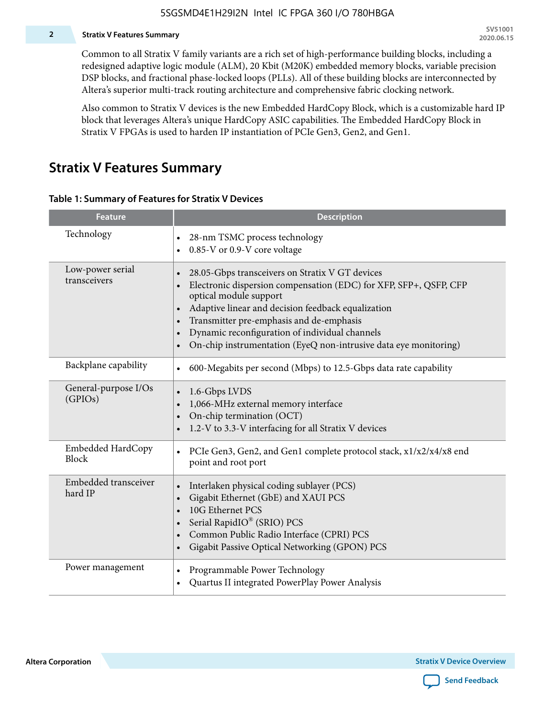#### **2 Stratix V Features Summary**

Common to all Stratix V family variants are a rich set of high-performance building blocks, including a redesigned adaptive logic module (ALM), 20 Kbit (M20K) embedded memory blocks, variable precision DSP blocks, and fractional phase-locked loops (PLLs). All of these building blocks are interconnected by Altera's superior multi-track routing architecture and comprehensive fabric clocking network.

Also common to Stratix V devices is the new Embedded HardCopy Block, which is a customizable hard IP block that leverages Altera's unique HardCopy ASIC capabilities. The Embedded HardCopy Block in Stratix V FPGAs is used to harden IP instantiation of PCIe Gen3, Gen2, and Gen1.

### **Stratix V Features Summary**

#### **Table 1: Summary of Features for Stratix V Devices**

| <b>Feature</b>                   | <b>Description</b>                                                                                                                                                                                                                                                                                                                                                                                                         |
|----------------------------------|----------------------------------------------------------------------------------------------------------------------------------------------------------------------------------------------------------------------------------------------------------------------------------------------------------------------------------------------------------------------------------------------------------------------------|
| Technology                       | 28-nm TSMC process technology<br>0.85-V or 0.9-V core voltage                                                                                                                                                                                                                                                                                                                                                              |
| Low-power serial<br>transceivers | 28.05-Gbps transceivers on Stratix V GT devices<br>$\bullet$<br>Electronic dispersion compensation (EDC) for XFP, SFP+, QSFP, CFP<br>optical module support<br>Adaptive linear and decision feedback equalization<br>$\bullet$<br>Transmitter pre-emphasis and de-emphasis<br>Dynamic reconfiguration of individual channels<br>$\bullet$<br>On-chip instrumentation (EyeQ non-intrusive data eye monitoring)<br>$\bullet$ |
| Backplane capability             | 600-Megabits per second (Mbps) to 12.5-Gbps data rate capability<br>$\bullet$                                                                                                                                                                                                                                                                                                                                              |
| General-purpose I/Os<br>(GPIOs)  | 1.6-Gbps LVDS<br>1,066-MHz external memory interface<br>$\bullet$<br>On-chip termination (OCT)<br>$\bullet$<br>1.2-V to 3.3-V interfacing for all Stratix V devices                                                                                                                                                                                                                                                        |
| Embedded HardCopy<br>Block       | PCIe Gen3, Gen2, and Gen1 complete protocol stack, x1/x2/x4/x8 end<br>$\bullet$<br>point and root port                                                                                                                                                                                                                                                                                                                     |
| Embedded transceiver<br>hard IP  | Interlaken physical coding sublayer (PCS)<br>$\bullet$<br>Gigabit Ethernet (GbE) and XAUI PCS<br>$\bullet$<br>10G Ethernet PCS<br>Serial RapidIO® (SRIO) PCS<br>$\bullet$<br>Common Public Radio Interface (CPRI) PCS<br>$\bullet$<br>Gigabit Passive Optical Networking (GPON) PCS<br>$\bullet$                                                                                                                           |
| Power management                 | Programmable Power Technology<br>$\bullet$<br>Quartus II integrated PowerPlay Power Analysis<br>$\bullet$                                                                                                                                                                                                                                                                                                                  |

**Altera Corporation** 

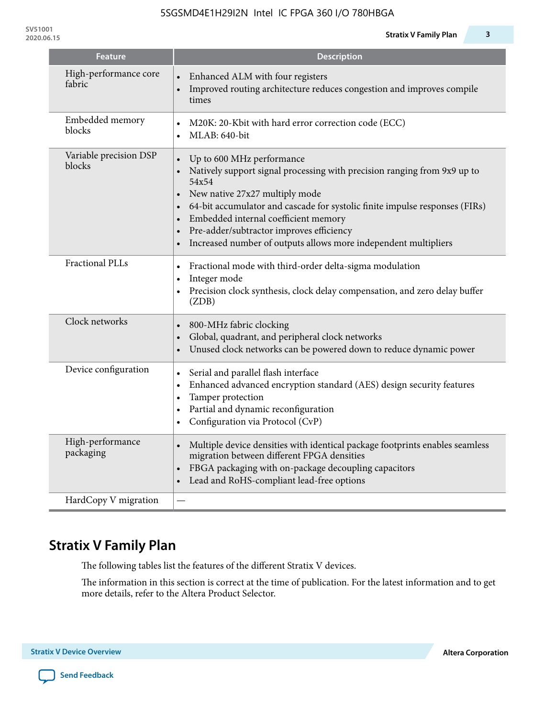| <b>Feature</b>                   | <b>Description</b>                                                                                                                                                                                                                                                                                                                                                                                                                                                   |
|----------------------------------|----------------------------------------------------------------------------------------------------------------------------------------------------------------------------------------------------------------------------------------------------------------------------------------------------------------------------------------------------------------------------------------------------------------------------------------------------------------------|
| High-performance core<br>fabric  | Enhanced ALM with four registers<br>Improved routing architecture reduces congestion and improves compile<br>times                                                                                                                                                                                                                                                                                                                                                   |
| Embedded memory<br>blocks        | M20K: 20-Kbit with hard error correction code (ECC)<br>$\bullet$<br>MLAB: 640-bit<br>$\bullet$                                                                                                                                                                                                                                                                                                                                                                       |
| Variable precision DSP<br>blocks | Up to 600 MHz performance<br>$\bullet$<br>Natively support signal processing with precision ranging from 9x9 up to<br>$\bullet$<br>54x54<br>New native 27x27 multiply mode<br>$\bullet$<br>64-bit accumulator and cascade for systolic finite impulse responses (FIRs)<br>$\bullet$<br>Embedded internal coefficient memory<br>$\bullet$<br>Pre-adder/subtractor improves efficiency<br>$\bullet$<br>Increased number of outputs allows more independent multipliers |
| <b>Fractional PLLs</b>           | Fractional mode with third-order delta-sigma modulation<br>Integer mode<br>$\bullet$<br>Precision clock synthesis, clock delay compensation, and zero delay buffer<br>$\bullet$<br>(ZDB)                                                                                                                                                                                                                                                                             |
| Clock networks                   | 800-MHz fabric clocking<br>$\bullet$<br>Global, quadrant, and peripheral clock networks<br>$\bullet$<br>Unused clock networks can be powered down to reduce dynamic power<br>$\bullet$                                                                                                                                                                                                                                                                               |
| Device configuration             | Serial and parallel flash interface<br>$\bullet$<br>Enhanced advanced encryption standard (AES) design security features<br>$\bullet$<br>Tamper protection<br>$\bullet$<br>Partial and dynamic reconfiguration<br>$\bullet$<br>Configuration via Protocol (CvP)                                                                                                                                                                                                      |
| High-performance<br>packaging    | Multiple device densities with identical package footprints enables seamless<br>$\bullet$<br>migration between different FPGA densities<br>FBGA packaging with on-package decoupling capacitors<br>$\bullet$<br>Lead and RoHS-compliant lead-free options<br>$\bullet$                                                                                                                                                                                               |
| HardCopy V migration             |                                                                                                                                                                                                                                                                                                                                                                                                                                                                      |

# **Stratix V Family Plan**

The following tables list the features of the different Stratix V devices.

The information in this section is correct at the time of publication. For the latest information and to get more details, refer to the Altera Product Selector.

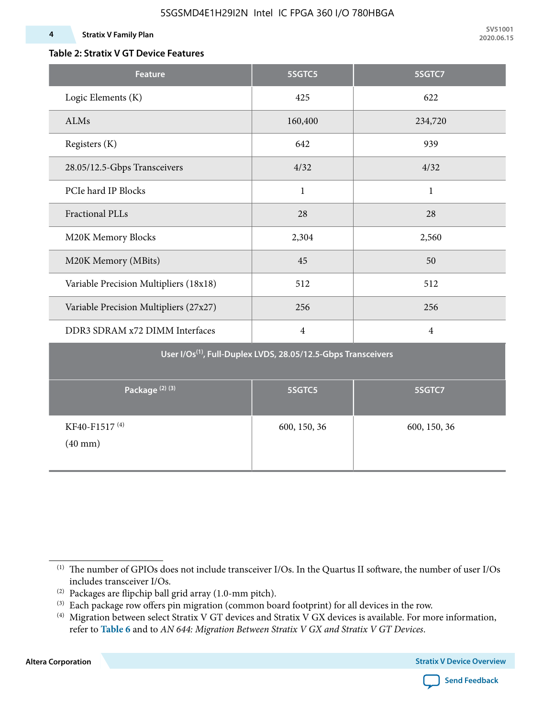### **Table 2: Stratix V GT Device Features**

| <b>Feature</b>                                                            | 5SGTC5         | 5SGTC7         |  |  |  |  |  |  |  |
|---------------------------------------------------------------------------|----------------|----------------|--|--|--|--|--|--|--|
| Logic Elements (K)                                                        | 425            | 622            |  |  |  |  |  |  |  |
| ALMs                                                                      | 160,400        | 234,720        |  |  |  |  |  |  |  |
| Registers (K)                                                             | 642            | 939            |  |  |  |  |  |  |  |
| 28.05/12.5-Gbps Transceivers                                              | 4/32           | 4/32           |  |  |  |  |  |  |  |
| PCIe hard IP Blocks                                                       | $\mathbf{1}$   | $\mathbf{1}$   |  |  |  |  |  |  |  |
| <b>Fractional PLLs</b>                                                    | 28             | 28             |  |  |  |  |  |  |  |
| M20K Memory Blocks                                                        | 2,304          | 2,560          |  |  |  |  |  |  |  |
| M20K Memory (MBits)                                                       | 45             | 50             |  |  |  |  |  |  |  |
| Variable Precision Multipliers (18x18)                                    | 512            | 512            |  |  |  |  |  |  |  |
| Variable Precision Multipliers (27x27)                                    | 256            | 256            |  |  |  |  |  |  |  |
| DDR3 SDRAM x72 DIMM Interfaces                                            | $\overline{4}$ | $\overline{4}$ |  |  |  |  |  |  |  |
| User I/Os <sup>(1)</sup> , Full-Duplex LVDS, 28.05/12.5-Gbps Transceivers |                |                |  |  |  |  |  |  |  |
| Package <sup>(2)(3)</sup>                                                 | 5SGTC5         | 5SGTC7         |  |  |  |  |  |  |  |
| KF40-F1517 <sup>(4)</sup><br>$(40$ mm $)$                                 | 600, 150, 36   | 600, 150, 36   |  |  |  |  |  |  |  |

**Altera Corporation** 



<sup>(1)</sup> The number of GPIOs does not include transceiver I/Os. In the Quartus II software, the number of user I/Os includes transceiver I/Os.

 $^{(2)}$  Packages are flipchip ball grid array (1.0-mm pitch).

<sup>(3)</sup> Each package row offers pin migration (common board footprint) for all devices in the row.

<sup>(4)</sup> Migration between select Stratix V GT devices and Stratix V GX devices is available. For more information, refer to **Table 6** and to *AN 644: Migration Between Stratix V GX and Stratix V GT Devices*.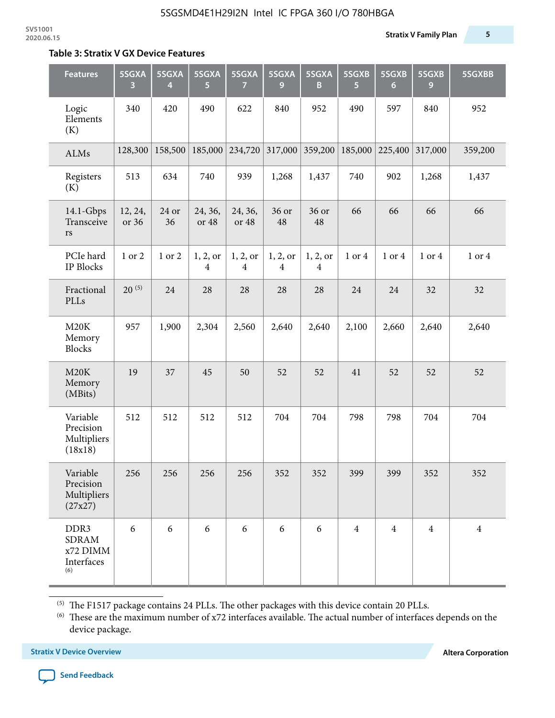#### **Table 3: Stratix V GX Device Features**

| <b>Features</b>                                       | 5SGXA<br>3       | 5SGXA<br>4  | 5SGXA<br>5                 | 5SGXA<br>7                 | 5SGXA<br>9                 | 5SGXA<br>B                 | 5SGXB<br>5     | 5SGXB<br>$6\phantom{1}6$ | 5SGXB<br>9     | 5SGXBB         |
|-------------------------------------------------------|------------------|-------------|----------------------------|----------------------------|----------------------------|----------------------------|----------------|--------------------------|----------------|----------------|
| Logic<br>Elements<br>(K)                              | 340              | 420         | 490                        | 622                        | 840                        | 952                        | 490            | 597                      | 840            | 952            |
| ALMs                                                  | 128,300          | 158,500     | 185,000                    | 234,720                    | 317,000                    | 359,200                    | 185,000        | 225,400                  | 317,000        | 359,200        |
| Registers<br>(K)                                      | 513              | 634         | 740                        | 939                        | 1,268                      | 1,437                      | 740            | 902                      | 1,268          | 1,437          |
| 14.1-Gbps<br>Transceive<br>rs                         | 12, 24,<br>or 36 | 24 or<br>36 | 24, 36,<br>or 48           | 24, 36,<br>or 48           | 36 or<br>48                | 36 or<br>48                | 66             | 66                       | 66             | 66             |
| PCIe hard<br>IP Blocks                                | 1 or 2           | 1 or 2      | 1, 2, 0r<br>$\overline{4}$ | 1, 2, 0r<br>$\overline{4}$ | 1, 2, or<br>$\overline{4}$ | 1, 2, 0r<br>$\overline{4}$ | 1 or 4         | 1 or 4                   | 1 or 4         | 1 or 4         |
| Fractional<br>PLLs                                    | $20^{(5)}$       | 24          | 28                         | 28                         | 28                         | 28                         | 24             | 24                       | 32             | 32             |
| M20K<br>Memory<br>Blocks                              | 957              | 1,900       | 2,304                      | 2,560                      | 2,640                      | 2,640                      | 2,100          | 2,660                    | 2,640          | 2,640          |
| M20K<br>Memory<br>(MBits)                             | 19               | 37          | 45                         | 50                         | 52                         | 52                         | 41             | 52                       | 52             | 52             |
| Variable<br>Precision<br>Multipliers<br>(18x18)       | 512              | 512         | 512                        | 512                        | 704                        | 704                        | 798            | 798                      | 704            | 704            |
| Variable<br>Precision<br>Multipliers<br>(27x27)       | 256              | 256         | 256                        | 256                        | 352                        | 352                        | 399            | 399                      | 352            | 352            |
| DDR3<br><b>SDRAM</b><br>x72 DIMM<br>Interfaces<br>(6) | 6                | 6           | 6                          | 6                          | 6                          | 6                          | $\overline{4}$ | $\overline{4}$           | $\overline{4}$ | $\overline{4}$ |

 $^{\left(5\right)}$  The F1517 package contains 24 PLLs. The other packages with this device contain 20 PLLs.

(6) These are the maximum number of x72 interfaces available. The actual number of interfaces depends on the device package.

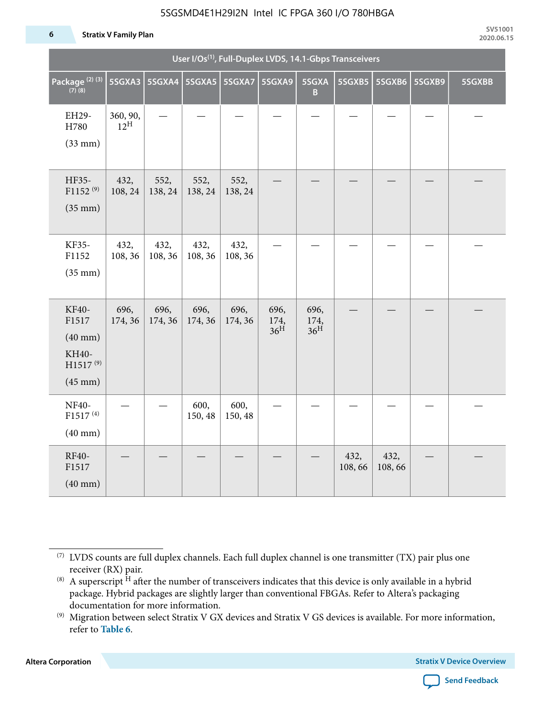#### **6 Stratix V Family Plan**

| User I/Os <sup>(1)</sup> , Full-Duplex LVDS, 14.1-Gbps Transceivers                  |                             |                          |                 |                 |                                 |                                 |                |                |        |        |
|--------------------------------------------------------------------------------------|-----------------------------|--------------------------|-----------------|-----------------|---------------------------------|---------------------------------|----------------|----------------|--------|--------|
| Package <sup>(2)(3)</sup><br>$(7)$ (8)                                               | 5SGXA3                      | 5SGXA4   5SGXA5   5SGXA7 |                 |                 | 5SGXA9                          | 5SGXA<br>B                      | 5SGXB5         | 5SGXB6         | 5SGXB9 | 5SGXBB |
| EH29-<br>H780<br>$(33$ mm $)$                                                        | 360, 90,<br>$12^{\text{H}}$ |                          |                 |                 |                                 |                                 |                |                |        |        |
| HF35-<br>$F1152^{(9)}$<br>$(35$ mm $)$                                               | 432,<br>108, 24             | 552,<br>138, 24          | 552,<br>138, 24 | 552,<br>138, 24 |                                 |                                 |                |                |        |        |
| KF35-<br>F1152<br>$(35$ mm $)$                                                       | 432,<br>108, 36             | 432,<br>108, 36          | 432,<br>108, 36 | 432,<br>108, 36 |                                 |                                 |                |                |        |        |
| KF40-<br>F1517<br>$(40$ mm $)$<br>KH40-<br>H1517 <sup>(9)</sup><br>$(45 \text{ mm})$ | 696,<br>174, 36             | 696,<br>174, 36          | 696,<br>174, 36 | 696,<br>174, 36 | 696,<br>174,<br>36 <sup>H</sup> | 696,<br>174,<br>36 <sup>H</sup> |                |                |        |        |
| NF40-<br>F1517 <sup>(4)</sup><br>$(40$ mm $)$                                        |                             |                          | 600,<br>150, 48 | 600,<br>150, 48 |                                 |                                 |                |                |        |        |
| RF40-<br>F1517<br>$(40$ mm $)$                                                       |                             |                          |                 |                 |                                 |                                 | 432,<br>108,66 | 432,<br>108,66 |        |        |

**Altera Corporation** 



<sup>(7)</sup> LVDS counts are full duplex channels. Each full duplex channel is one transmitter (TX) pair plus one receiver (RX) pair.

<sup>(8)</sup> A superscript  $H$  after the number of transceivers indicates that this device is only available in a hybrid package. Hybrid packages are slightly larger than conventional FBGAs. Refer to Altera's packaging documentation for more information.

<sup>(9)</sup> Migration between select Stratix V GX devices and Stratix V GS devices is available. For more information, refer to **Table 6**.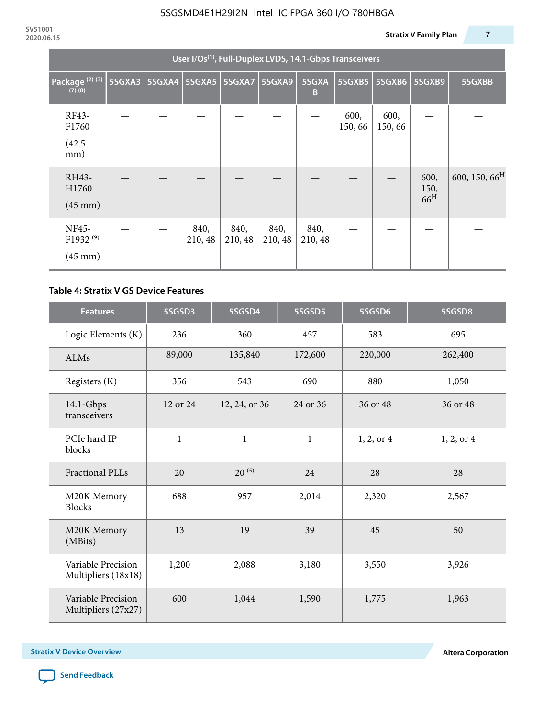| User I/Os <sup>(1)</sup> , Full-Duplex LVDS, 14.1-Gbps Transceivers |        |               |                 |                 |                 |                 |                |                |                                 |                           |
|---------------------------------------------------------------------|--------|---------------|-----------------|-----------------|-----------------|-----------------|----------------|----------------|---------------------------------|---------------------------|
| Package <sup>(2)(3)</sup><br>$(7)$ $(8)$                            | 5SGXA3 | <b>5SGXA4</b> |                 | 5SGXA5   5SGXA7 | 5SGXA9          | 5SGXA<br>B      | 5SGXB5         | <b>5SGXB6</b>  | <b>5SGXB9</b>                   | 5SGXBB                    |
| RF43-<br>F1760<br>(42.5)<br>mm)                                     |        |               |                 |                 |                 |                 | 600,<br>150,66 | 600,<br>150,66 |                                 |                           |
| RH43-<br>H1760<br>$(45 \text{ mm})$                                 |        |               |                 |                 |                 |                 |                |                | 600,<br>150,<br>66 <sup>H</sup> | 600, 150, 66 <sup>H</sup> |
| NF45-<br>F1932 <sup>(9)</sup><br>$(45 \text{ mm})$                  |        |               | 840,<br>210, 48 | 840,<br>210, 48 | 840,<br>210, 48 | 840,<br>210, 48 |                |                |                                 |                           |

#### **Table 4: Stratix V GS Device Features**

| <b>Features</b>                           | 5SGSD3       | 5SGSD4                    | 5SGSD5       | 5SGSD6     | 5SGSD8     |
|-------------------------------------------|--------------|---------------------------|--------------|------------|------------|
| Logic Elements (K)                        | 236          | 360                       | 457          | 583        | 695        |
| <b>ALMs</b>                               | 89,000       | 135,840                   | 172,600      | 220,000    | 262,400    |
| Registers (K)                             | 356          | 543                       | 690          | 880        | 1,050      |
| $14.1$ -Gbps<br>transceivers              | 12 or 24     | 12, 24, or 36<br>24 or 36 |              | 36 or 48   | 36 or 48   |
| PCIe hard IP<br>blocks                    | $\mathbf{1}$ | $\mathbf{1}$              | $\mathbf{1}$ | 1, 2, or 4 | 1, 2, or 4 |
| <b>Fractional PLLs</b>                    | 20           | $20^{(5)}$                | 24           | 28         | 28         |
| M20K Memory<br><b>Blocks</b>              | 688          | 957                       | 2,014        | 2,320      | 2,567      |
| M20K Memory<br>(MBits)                    | 13           |                           | 39           | 45         | 50         |
| Variable Precision<br>Multipliers (18x18) | 1,200        | 2,088                     | 3,180        | 3,550      | 3,926      |
| Variable Precision<br>Multipliers (27x27) | 600          | 1,044                     | 1,590        | 1,775      | 1,963      |

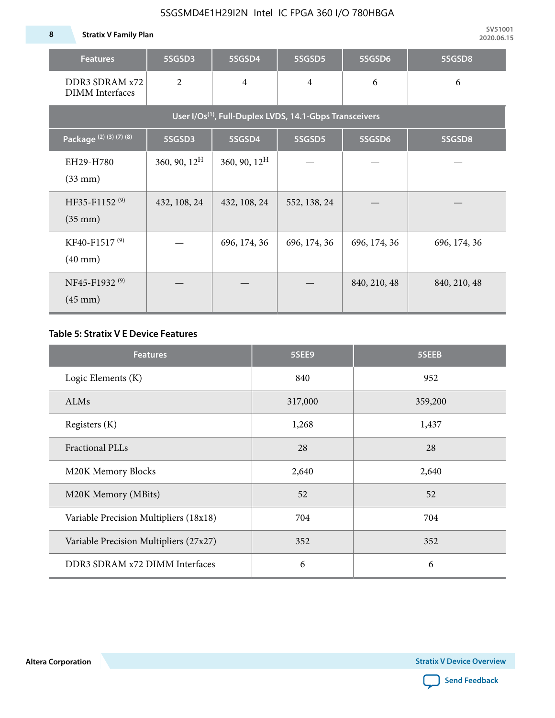| <b>Features</b>                                                     | 5SGSD3                   | 5SGSD4          | 5SGSD5         | 5SGSD6       | 5SGSD8       |  |  |  |  |  |  |
|---------------------------------------------------------------------|--------------------------|-----------------|----------------|--------------|--------------|--|--|--|--|--|--|
| DDR3 SDRAM x72<br><b>DIMM</b> Interfaces                            | $\overline{2}$           | $\overline{4}$  | $\overline{4}$ | 6            | 6            |  |  |  |  |  |  |
| User I/Os <sup>(1)</sup> , Full-Duplex LVDS, 14.1-Gbps Transceivers |                          |                 |                |              |              |  |  |  |  |  |  |
| Package <sup>(2)</sup> (3)(7)(8)                                    | 5SGSD3                   | 5SGSD4          | 5SGSD5         | 5SGSD6       | 5SGSD8       |  |  |  |  |  |  |
| EH29-H780<br>$(33$ mm $)$                                           | $360, 90, 12^{\text{H}}$ | 360, 90, $12^H$ |                |              |              |  |  |  |  |  |  |
| HF35-F1152 <sup>(9)</sup><br>$(35 \text{ mm})$                      | 432, 108, 24             | 432, 108, 24    | 552, 138, 24   |              |              |  |  |  |  |  |  |
| KF40-F1517 <sup>(9)</sup><br>$(40 \text{ mm})$                      |                          | 696, 174, 36    | 696, 174, 36   | 696, 174, 36 | 696, 174, 36 |  |  |  |  |  |  |
| NF45-F1932 <sup>(9)</sup><br>$(45 \text{ mm})$                      |                          |                 |                | 840, 210, 48 | 840, 210, 48 |  |  |  |  |  |  |

#### **Table 5: Stratix V E Device Features**

| <b>Features</b>                        | 5SEE9   | 5SEEB   |
|----------------------------------------|---------|---------|
| Logic Elements (K)                     | 840     | 952     |
| ALMs                                   | 317,000 | 359,200 |
| Registers (K)                          | 1,268   | 1,437   |
| <b>Fractional PLLs</b>                 | 28      | 28      |
| M20K Memory Blocks                     | 2,640   | 2,640   |
| M20K Memory (MBits)                    | 52      | 52      |
| Variable Precision Multipliers (18x18) | 704     | 704     |
| Variable Precision Multipliers (27x27) | 352     | 352     |
| DDR3 SDRAM x72 DIMM Interfaces         | 6       | 6       |

**Altera Corporation** 

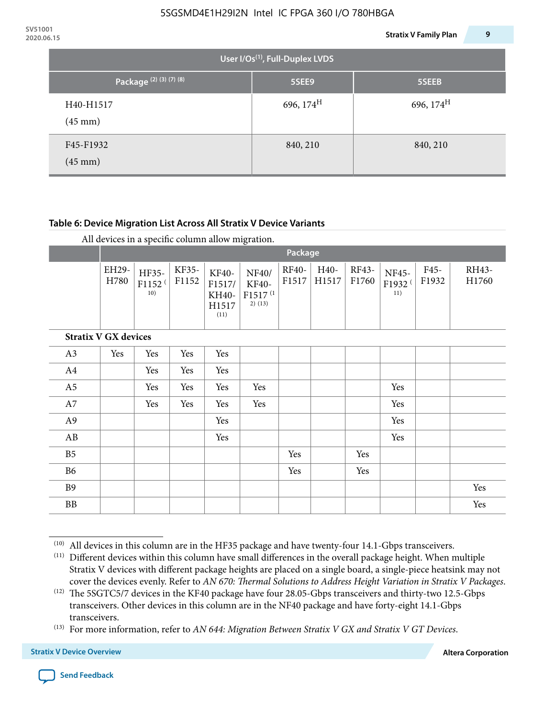|                                             | 9<br><b>Stratix V Family Plan</b> |
|---------------------------------------------|-----------------------------------|
| User I/Os <sup>(1)</sup> , Full-Duplex LVDS |                                   |
| 5SEE9                                       | 5SEEB                             |
| 696, $174^H$                                | 696, $174^H$                      |
| 840, 210                                    | 840, 210                          |
|                                             |                                   |

#### **Table 6: Device Migration List Across All Stratix V Device Variants**

|                             | Package       |                                    |                |                                           |                                                    |                       |               |                |                                    |               |                |
|-----------------------------|---------------|------------------------------------|----------------|-------------------------------------------|----------------------------------------------------|-----------------------|---------------|----------------|------------------------------------|---------------|----------------|
|                             | EH29-<br>H780 | HF35-<br>F1152 <sup>(</sup><br>10) | KF35-<br>F1152 | KF40-<br>F1517/<br>KH40-<br>H1517<br>(11) | NF40/<br>KF40-<br>F1517 <sup>(1</sup><br>$2)$ (13) | <b>RF40-</b><br>F1517 | H40-<br>H1517 | RF43-<br>F1760 | NF45-<br>F1932 <sup>(</sup><br>11) | F45-<br>F1932 | RH43-<br>H1760 |
| <b>Stratix V GX devices</b> |               |                                    |                |                                           |                                                    |                       |               |                |                                    |               |                |
| A3                          | Yes           | Yes                                | Yes            | Yes                                       |                                                    |                       |               |                |                                    |               |                |
| A4                          |               | Yes                                | Yes            | Yes                                       |                                                    |                       |               |                |                                    |               |                |
| A <sub>5</sub>              |               | Yes                                | Yes            | Yes                                       | Yes                                                |                       |               |                | Yes                                |               |                |
| A7                          |               | Yes                                | Yes            | Yes                                       | Yes                                                |                       |               |                | Yes                                |               |                |
| A9                          |               |                                    |                | Yes                                       |                                                    |                       |               |                | Yes                                |               |                |
| AB                          |               |                                    |                | Yes                                       |                                                    |                       |               |                | Yes                                |               |                |
| B <sub>5</sub>              |               |                                    |                |                                           |                                                    | Yes                   |               | Yes            |                                    |               |                |
| B6                          |               |                                    |                |                                           |                                                    | Yes                   |               | Yes            |                                    |               |                |
| <b>B9</b>                   |               |                                    |                |                                           |                                                    |                       |               |                |                                    |               | Yes            |
| <b>BB</b>                   |               |                                    |                |                                           |                                                    |                       |               |                |                                    |               | Yes            |

 $(10)$  All devices in this column are in the HF35 package and have twenty-four 14.1-Gbps transceivers.



<sup>(11)</sup> Different devices within this column have small differences in the overall package height. When multiple Stratix V devices with different package heights are placed on a single board, a single-piece heatsink may not cover the devices evenly. Refer to *AN 670: Thermal Solutions to Address Height Variation in Stratix V Packages*.

<sup>(12)</sup> The 5SGTC5/7 devices in the KF40 package have four 28.05-Gbps transceivers and thirty-two 12.5-Gbps transceivers. Other devices in this column are in the NF40 package and have forty-eight 14.1-Gbps transceivers.

<sup>(13)</sup> For more information, refer to *AN 644: Migration Between Stratix V GX and Stratix V GT Devices*.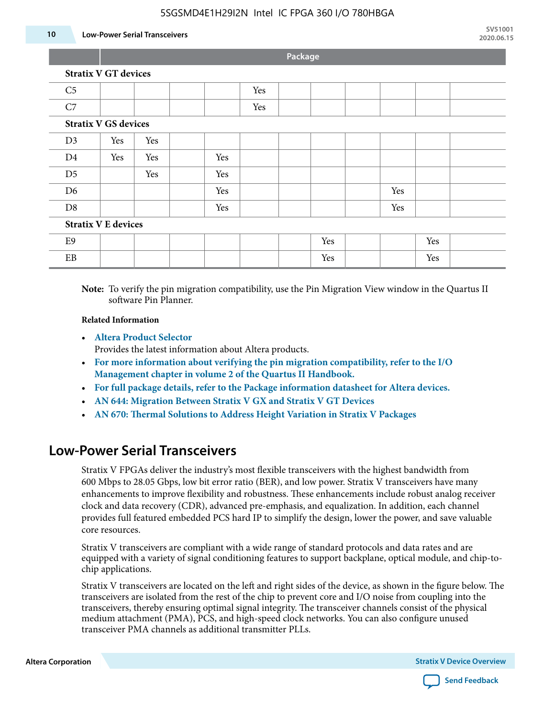#### **10 Low-Power Serial Transceivers**

**Package**

| <b>Stratix V GT devices</b> |  |
|-----------------------------|--|
|-----------------------------|--|

| C <sub>5</sub>             |                             |     |  |     | Yes |  |     |  |     |     |  |
|----------------------------|-----------------------------|-----|--|-----|-----|--|-----|--|-----|-----|--|
| C7                         |                             |     |  |     | Yes |  |     |  |     |     |  |
|                            | <b>Stratix V GS devices</b> |     |  |     |     |  |     |  |     |     |  |
| D3                         | Yes                         | Yes |  |     |     |  |     |  |     |     |  |
| D <sub>4</sub>             | Yes                         | Yes |  | Yes |     |  |     |  |     |     |  |
| D <sub>5</sub>             |                             | Yes |  | Yes |     |  |     |  |     |     |  |
| D <sub>6</sub>             |                             |     |  | Yes |     |  |     |  | Yes |     |  |
| D <sub>8</sub>             |                             |     |  | Yes |     |  |     |  | Yes |     |  |
| <b>Stratix V E devices</b> |                             |     |  |     |     |  |     |  |     |     |  |
| E <sub>9</sub>             |                             |     |  |     |     |  | Yes |  |     | Yes |  |
| EB                         |                             |     |  |     |     |  | Yes |  |     | Yes |  |

**Note:** To verify the pin migration compatibility, use the Pin Migration View window in the Quartus II software Pin Planner.

#### **Related Information**

• **[Altera Product Selector](http://www.altera.com/products/selector/psg-selector.html#)**

Provides the latest information about Altera products.

- **[For more information about verifying the pin migration compatibility, refer to the I/O](http://www.altera.com/literature/hb/qts/qts_qii52013.pdf) [Management chapter in volume 2 of the Quartus II Handbook.](http://www.altera.com/literature/hb/qts/qts_qii52013.pdf)**
- **[For full package details, refer to the Package information datasheet for Altera devices.](http://www.altera.com/support/devices/packaging/specifications/pkg-pin/spe-index.jsp)**
- **[AN 644: Migration Between Stratix V GX and Stratix V GT Devices](http://www.altera.com/literature/an/an644.pdf)**
- **[AN 670: Thermal Solutions to Address Height Variation in Stratix V Packages](http://www.altera.com/literature/an/an670.pdf)**

### **Low-Power Serial Transceivers**

Stratix V FPGAs deliver the industry's most flexible transceivers with the highest bandwidth from 600 Mbps to 28.05 Gbps, low bit error ratio (BER), and low power. Stratix V transceivers have many enhancements to improve flexibility and robustness. These enhancements include robust analog receiver clock and data recovery (CDR), advanced pre-emphasis, and equalization. In addition, each channel provides full featured embedded PCS hard IP to simplify the design, lower the power, and save valuable core resources.

Stratix V transceivers are compliant with a wide range of standard protocols and data rates and are equipped with a variety of signal conditioning features to support backplane, optical module, and chip-tochip applications.

Stratix V transceivers are located on the left and right sides of the device, as shown in the figure below. The transceivers are isolated from the rest of the chip to prevent core and I/O noise from coupling into the transceivers, thereby ensuring optimal signal integrity. The transceiver channels consist of the physical medium attachment (PMA), PCS, and high-speed clock networks. You can also configure unused transceiver PMA channels as additional transmitter PLLs.

**Altera Corporation Stratix V Device Overview**

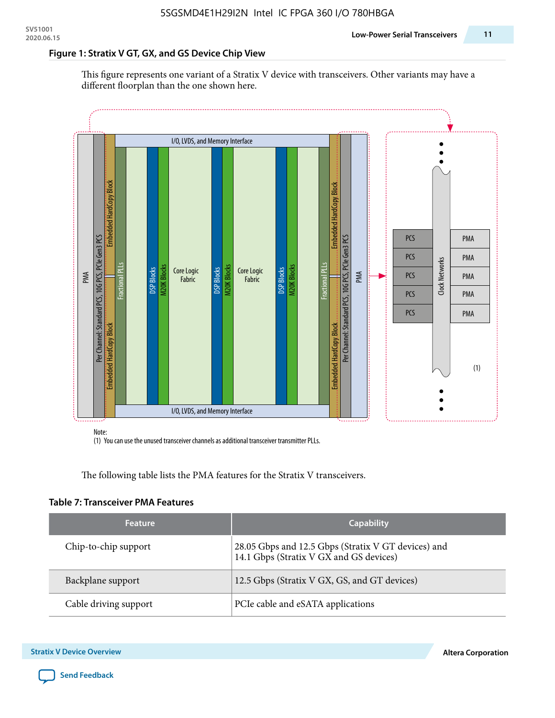#### **Figure 1: Stratix V GT, GX, and GS Device Chip View**

This figure represents one variant of a Stratix V device with transceivers. Other variants may have a different floorplan than the one shown here.



(1) You can use the unused transceiver channels as additional transceiver transmitter PLLs.

The following table lists the PMA features for the Stratix V transceivers.

#### **Table 7: Transceiver PMA Features**

| <b>Feature</b>        | <b>Capability</b>                                                                              |
|-----------------------|------------------------------------------------------------------------------------------------|
| Chip-to-chip support  | 28.05 Gbps and 12.5 Gbps (Stratix V GT devices) and<br>14.1 Gbps (Stratix V GX and GS devices) |
| Backplane support     | 12.5 Gbps (Stratix V GX, GS, and GT devices)                                                   |
| Cable driving support | PCIe cable and eSATA applications                                                              |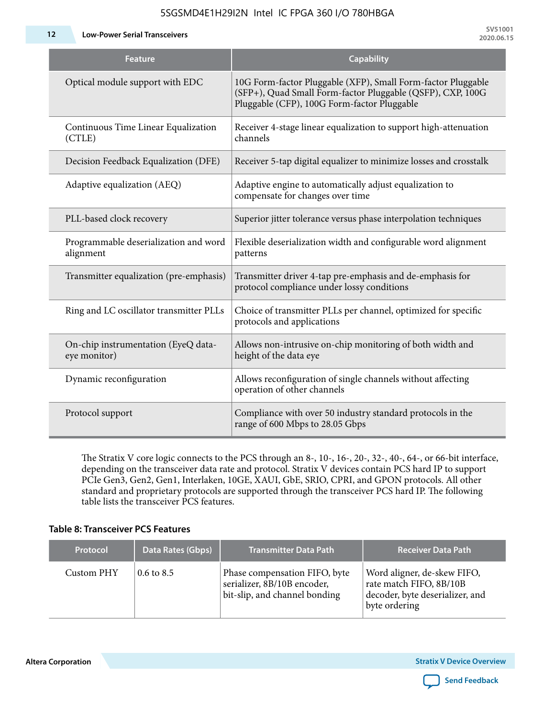**12 Low-Power Serial Transceivers**

| <b>Feature</b>                                      | <b>Capability</b>                                                                                                                                                         |
|-----------------------------------------------------|---------------------------------------------------------------------------------------------------------------------------------------------------------------------------|
| Optical module support with EDC                     | 10G Form-factor Pluggable (XFP), Small Form-factor Pluggable<br>(SFP+), Quad Small Form-factor Pluggable (QSFP), CXP, 100G<br>Pluggable (CFP), 100G Form-factor Pluggable |
| Continuous Time Linear Equalization<br>(CTLE)       | Receiver 4-stage linear equalization to support high-attenuation<br>channels                                                                                              |
| Decision Feedback Equalization (DFE)                | Receiver 5-tap digital equalizer to minimize losses and crosstalk                                                                                                         |
| Adaptive equalization (AEQ)                         | Adaptive engine to automatically adjust equalization to<br>compensate for changes over time                                                                               |
| PLL-based clock recovery                            | Superior jitter tolerance versus phase interpolation techniques                                                                                                           |
| Programmable deserialization and word<br>alignment  | Flexible deserialization width and configurable word alignment<br>patterns                                                                                                |
| Transmitter equalization (pre-emphasis)             | Transmitter driver 4-tap pre-emphasis and de-emphasis for<br>protocol compliance under lossy conditions                                                                   |
| Ring and LC oscillator transmitter PLLs             | Choice of transmitter PLLs per channel, optimized for specific<br>protocols and applications                                                                              |
| On-chip instrumentation (EyeQ data-<br>eye monitor) | Allows non-intrusive on-chip monitoring of both width and<br>height of the data eye                                                                                       |
| Dynamic reconfiguration                             | Allows reconfiguration of single channels without affecting<br>operation of other channels                                                                                |
| Protocol support                                    | Compliance with over 50 industry standard protocols in the<br>range of 600 Mbps to 28.05 Gbps                                                                             |

The Stratix V core logic connects to the PCS through an 8-, 10-, 16-, 20-, 32-, 40-, 64-, or 66-bit interface, depending on the transceiver data rate and protocol. Stratix V devices contain PCS hard IP to support PCIe Gen3, Gen2, Gen1, Interlaken, 10GE, XAUI, GbE, SRIO, CPRI, and GPON protocols. All other standard and proprietary protocols are supported through the transceiver PCS hard IP. The following table lists the transceiver PCS features.

#### **Table 8: Transceiver PCS Features**

| <b>Protocol</b> | Data Rates (Gbps)     | <b>Transmitter Data Path</b>                                                                  | <b>Receiver Data Path</b>                                                                                  |
|-----------------|-----------------------|-----------------------------------------------------------------------------------------------|------------------------------------------------------------------------------------------------------------|
| Custom PHY      | $0.6 \text{ to } 8.5$ | Phase compensation FIFO, byte<br>serializer, 8B/10B encoder,<br>bit-slip, and channel bonding | Word aligner, de-skew FIFO,<br>rate match FIFO, 8B/10B<br>decoder, byte deserializer, and<br>byte ordering |

**Altera Corporation** 

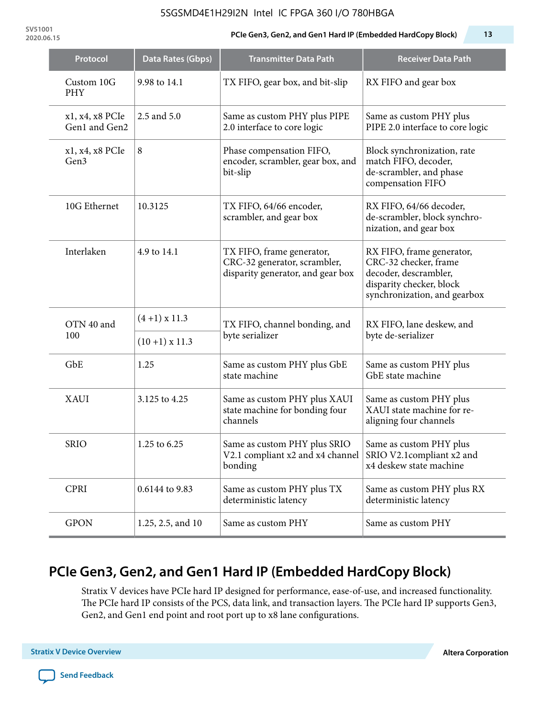**SV51001**

### **2020.06.15 PCIe Gen3, Gen2, and Gen1 Hard IP (Embedded HardCopy Block) 13**

| Protocol                         | Data Rates (Gbps) | <b>Transmitter Data Path</b>                                                                   | <b>Receiver Data Path</b>                                                                                                               |  |  |
|----------------------------------|-------------------|------------------------------------------------------------------------------------------------|-----------------------------------------------------------------------------------------------------------------------------------------|--|--|
| Custom 10G<br><b>PHY</b>         | 9.98 to 14.1      | TX FIFO, gear box, and bit-slip                                                                | RX FIFO and gear box                                                                                                                    |  |  |
| x1, x4, x8 PCIe<br>Gen1 and Gen2 | 2.5 and 5.0       | Same as custom PHY plus PIPE<br>2.0 interface to core logic                                    | Same as custom PHY plus<br>PIPE 2.0 interface to core logic                                                                             |  |  |
| x1, x4, x8 PCIe<br>Gen3          | $\,8\,$           | Phase compensation FIFO,<br>encoder, scrambler, gear box, and<br>bit-slip                      | Block synchronization, rate<br>match FIFO, decoder,<br>de-scrambler, and phase<br>compensation FIFO                                     |  |  |
| 10G Ethernet                     | 10.3125           | TX FIFO, 64/66 encoder,<br>scrambler, and gear box                                             | RX FIFO, 64/66 decoder,<br>de-scrambler, block synchro-<br>nization, and gear box                                                       |  |  |
| Interlaken                       | 4.9 to 14.1       | TX FIFO, frame generator,<br>CRC-32 generator, scrambler,<br>disparity generator, and gear box | RX FIFO, frame generator,<br>CRC-32 checker, frame<br>decoder, descrambler,<br>disparity checker, block<br>synchronization, and gearbox |  |  |
| OTN 40 and<br>100                | $(4+1)$ x 11.3    | TX FIFO, channel bonding, and<br>byte serializer                                               | RX FIFO, lane deskew, and<br>byte de-serializer                                                                                         |  |  |
|                                  | $(10+1)$ x 11.3   |                                                                                                |                                                                                                                                         |  |  |
| GbE                              | 1.25              | Same as custom PHY plus GbE<br>state machine                                                   | Same as custom PHY plus<br>GbE state machine                                                                                            |  |  |
| <b>XAUI</b>                      | 3.125 to 4.25     | Same as custom PHY plus XAUI<br>state machine for bonding four<br>channels                     | Same as custom PHY plus<br>XAUI state machine for re-<br>aligning four channels                                                         |  |  |
| <b>SRIO</b>                      | 1.25 to 6.25      | Same as custom PHY plus SRIO<br>V2.1 compliant x2 and x4 channel $ $<br>bonding                | Same as custom PHY plus<br>SRIO V2.1compliant x2 and<br>x4 deskew state machine                                                         |  |  |
| <b>CPRI</b>                      | 0.6144 to 9.83    | Same as custom PHY plus TX<br>deterministic latency                                            | Same as custom PHY plus RX<br>deterministic latency                                                                                     |  |  |
| <b>GPON</b>                      | 1.25, 2.5, and 10 | Same as custom PHY                                                                             | Same as custom PHY                                                                                                                      |  |  |

# **PCIe Gen3, Gen2, and Gen1 Hard IP (Embedded HardCopy Block)**

Stratix V devices have PCIe hard IP designed for performance, ease-of-use, and increased functionality. The PCIe hard IP consists of the PCS, data link, and transaction layers. The PCIe hard IP supports Gen3, Gen2, and Gen1 end point and root port up to x8 lane configurations.

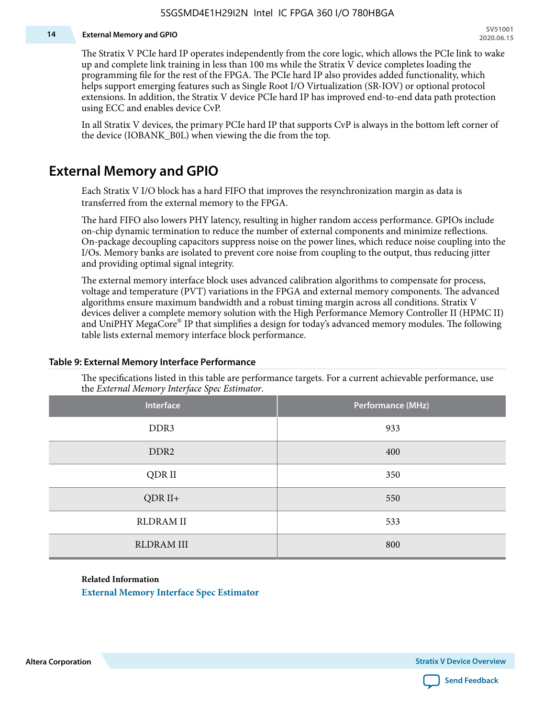#### **14 External Memory and GPIO**

The Stratix V PCIe hard IP operates independently from the core logic, which allows the PCIe link to wake up and complete link training in less than 100 ms while the Stratix V device completes loading the programming file for the rest of the FPGA. The PCIe hard IP also provides added functionality, which helps support emerging features such as Single Root I/O Virtualization (SR-IOV) or optional protocol extensions. In addition, the Stratix V device PCIe hard IP has improved end-to-end data path protection using ECC and enables device CvP.

In all Stratix V devices, the primary PCIe hard IP that supports CvP is always in the bottom left corner of the device (IOBANK\_B0L) when viewing the die from the top.

### **External Memory and GPIO**

Each Stratix V I/O block has a hard FIFO that improves the resynchronization margin as data is transferred from the external memory to the FPGA.

The hard FIFO also lowers PHY latency, resulting in higher random access performance. GPIOs include on-chip dynamic termination to reduce the number of external components and minimize reflections. On-package decoupling capacitors suppress noise on the power lines, which reduce noise coupling into the I/Os. Memory banks are isolated to prevent core noise from coupling to the output, thus reducing jitter and providing optimal signal integrity.

The external memory interface block uses advanced calibration algorithms to compensate for process, voltage and temperature (PVT) variations in the FPGA and external memory components. The advanced algorithms ensure maximum bandwidth and a robust timing margin across all conditions. Stratix V devices deliver a complete memory solution with the High Performance Memory Controller II (HPMC II) and UniPHY MegaCore® IP that simplifies a design for today's advanced memory modules. The following table lists external memory interface block performance.

| Interface         | Performance (MHz) |
|-------------------|-------------------|
| DDR3              | 933               |
| DDR <sub>2</sub>  | 400               |
| QDR II            | 350               |
| $QDR II+$         | 550               |
| <b>RLDRAM II</b>  | 533               |
| <b>RLDRAM III</b> | 800               |

#### **Table 9: External Memory Interface Performance**

The specifications listed in this table are performance targets. For a current achievable performance, use the *External Memory Interface Spec Estimator*.

#### **Related Information**

**[External Memory Interface Spec Estimator](http://www.altera.com/technology/memory/estimator/mem-emif-index.html)**

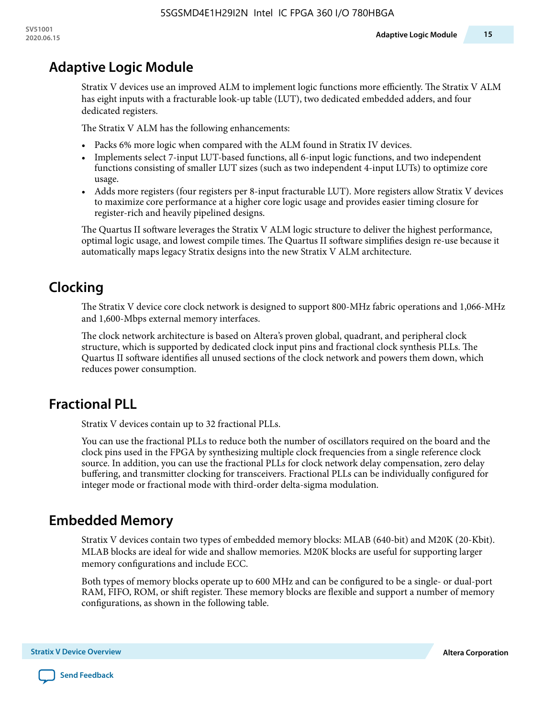# **Adaptive Logic Module**

Stratix V devices use an improved ALM to implement logic functions more efficiently. The Stratix V ALM has eight inputs with a fracturable look-up table (LUT), two dedicated embedded adders, and four dedicated registers.

The Stratix V ALM has the following enhancements:

- Packs 6% more logic when compared with the ALM found in Stratix IV devices.
- Implements select 7-input LUT-based functions, all 6-input logic functions, and two independent functions consisting of smaller LUT sizes (such as two independent 4-input LUTs) to optimize core usage.
- Adds more registers (four registers per 8-input fracturable LUT). More registers allow Stratix V devices to maximize core performance at a higher core logic usage and provides easier timing closure for register-rich and heavily pipelined designs.

The Quartus II software leverages the Stratix V ALM logic structure to deliver the highest performance, optimal logic usage, and lowest compile times. The Quartus II software simplifies design re-use because it automatically maps legacy Stratix designs into the new Stratix V ALM architecture.

# **Clocking**

The Stratix V device core clock network is designed to support 800-MHz fabric operations and 1,066-MHz and 1,600-Mbps external memory interfaces.

The clock network architecture is based on Altera's proven global, quadrant, and peripheral clock structure, which is supported by dedicated clock input pins and fractional clock synthesis PLLs. The Quartus II software identifies all unused sections of the clock network and powers them down, which reduces power consumption.

# **Fractional PLL**

Stratix V devices contain up to 32 fractional PLLs.

You can use the fractional PLLs to reduce both the number of oscillators required on the board and the clock pins used in the FPGA by synthesizing multiple clock frequencies from a single reference clock source. In addition, you can use the fractional PLLs for clock network delay compensation, zero delay buffering, and transmitter clocking for transceivers. Fractional PLLs can be individually configured for integer mode or fractional mode with third-order delta-sigma modulation.

# **Embedded Memory**

Stratix V devices contain two types of embedded memory blocks: MLAB (640-bit) and M20K (20-Kbit). MLAB blocks are ideal for wide and shallow memories. M20K blocks are useful for supporting larger memory configurations and include ECC.

Both types of memory blocks operate up to 600 MHz and can be configured to be a single- or dual-port RAM, FIFO, ROM, or shift register. These memory blocks are flexible and support a number of memory configurations, as shown in the following table.

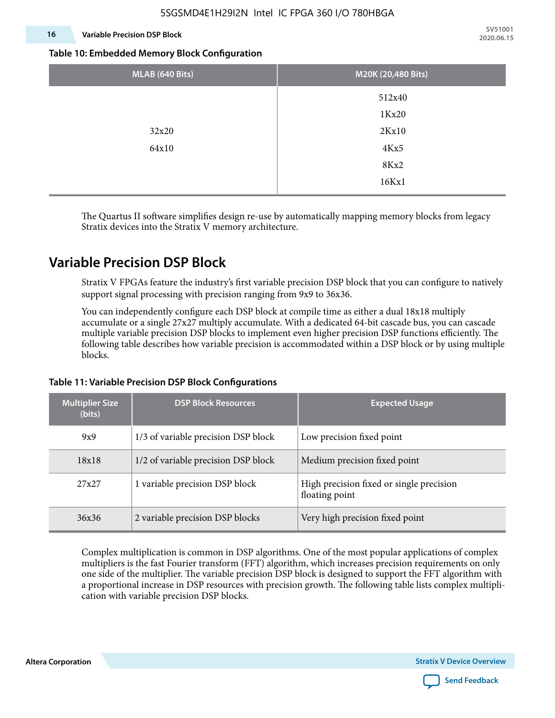#### **16 Variable Precision DSP Block**

**SV51001 2020.06.15**

#### **Table 10: Embedded Memory Block Configuration**

| MLAB (640 Bits) | M20K (20,480 Bits) |
|-----------------|--------------------|
|                 | 512x40             |
|                 | 1Kx20              |
| 32x20           | 2Kx10              |
| 64x10           | 4Kx5               |
|                 | 8Kx2               |
|                 | 16Kx1              |

The Quartus II software simplifies design re-use by automatically mapping memory blocks from legacy Stratix devices into the Stratix V memory architecture.

### **Variable Precision DSP Block**

Stratix V FPGAs feature the industry's first variable precision DSP block that you can configure to natively support signal processing with precision ranging from 9x9 to 36x36.

You can independently configure each DSP block at compile time as either a dual 18x18 multiply accumulate or a single 27x27 multiply accumulate. With a dedicated 64-bit cascade bus, you can cascade multiple variable precision DSP blocks to implement even higher precision DSP functions efficiently. The following table describes how variable precision is accommodated within a DSP block or by using multiple blocks.

| <b>Multiplier Size</b><br>(bits) | <b>DSP Block Resources</b>          | <b>Expected Usage</b>                                      |
|----------------------------------|-------------------------------------|------------------------------------------------------------|
| 9x9                              | 1/3 of variable precision DSP block | Low precision fixed point                                  |
| 18x18                            | 1/2 of variable precision DSP block | Medium precision fixed point                               |
| 27x27                            | 1 variable precision DSP block      | High precision fixed or single precision<br>floating point |
| 36x36                            | 2 variable precision DSP blocks     | Very high precision fixed point                            |

#### **Table 11: Variable Precision DSP Block Configurations**

Complex multiplication is common in DSP algorithms. One of the most popular applications of complex multipliers is the fast Fourier transform (FFT) algorithm, which increases precision requirements on only one side of the multiplier. The variable precision DSP block is designed to support the FFT algorithm with a proportional increase in DSP resources with precision growth. The following table lists complex multipli‐ cation with variable precision DSP blocks.

**Altera Corporation** 

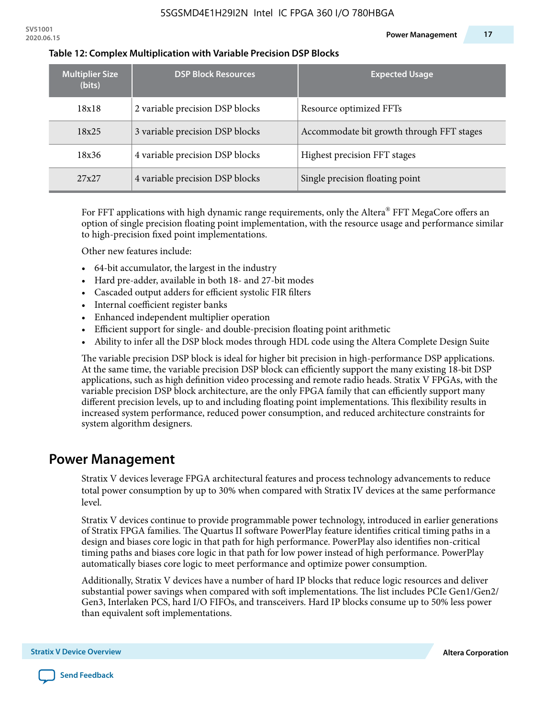| <b>Multiplier Size</b><br>(bits) | <b>DSP Block Resources</b>      | <b>Expected Usage</b>                     |
|----------------------------------|---------------------------------|-------------------------------------------|
| 18x18                            | 2 variable precision DSP blocks | Resource optimized FFTs                   |
| 18x25                            | 3 variable precision DSP blocks | Accommodate bit growth through FFT stages |
| 18x36                            | 4 variable precision DSP blocks | Highest precision FFT stages              |
| 27x27                            | 4 variable precision DSP blocks | Single precision floating point           |

#### **Table 12: Complex Multiplication with Variable Precision DSP Blocks**

For FFT applications with high dynamic range requirements, only the Altera $^\circ$  FFT MegaCore offers an option of single precision floating point implementation, with the resource usage and performance similar to high-precision fixed point implementations.

Other new features include:

- 64-bit accumulator, the largest in the industry
- Hard pre-adder, available in both 18- and 27-bit modes
- Cascaded output adders for efficient systolic FIR filters
- Internal coefficient register banks
- Enhanced independent multiplier operation
- Efficient support for single- and double-precision floating point arithmetic
- Ability to infer all the DSP block modes through HDL code using the Altera Complete Design Suite

The variable precision DSP block is ideal for higher bit precision in high-performance DSP applications. At the same time, the variable precision DSP block can efficiently support the many existing 18-bit DSP applications, such as high definition video processing and remote radio heads. Stratix V FPGAs, with the variable precision DSP block architecture, are the only FPGA family that can efficiently support many different precision levels, up to and including floating point implementations. This flexibility results in increased system performance, reduced power consumption, and reduced architecture constraints for system algorithm designers.

### **Power Management**

Stratix V devices leverage FPGA architectural features and process technology advancements to reduce total power consumption by up to 30% when compared with Stratix IV devices at the same performance level.

Stratix V devices continue to provide programmable power technology, introduced in earlier generations of Stratix FPGA families. The Quartus II software PowerPlay feature identifies critical timing paths in a design and biases core logic in that path for high performance. PowerPlay also identifies non-critical timing paths and biases core logic in that path for low power instead of high performance. PowerPlay automatically biases core logic to meet performance and optimize power consumption.

Additionally, Stratix V devices have a number of hard IP blocks that reduce logic resources and deliver substantial power savings when compared with soft implementations. The list includes PCIe Gen1/Gen2/ Gen3, Interlaken PCS, hard I/O FIFOs, and transceivers. Hard IP blocks consume up to 50% less power than equivalent soft implementations.

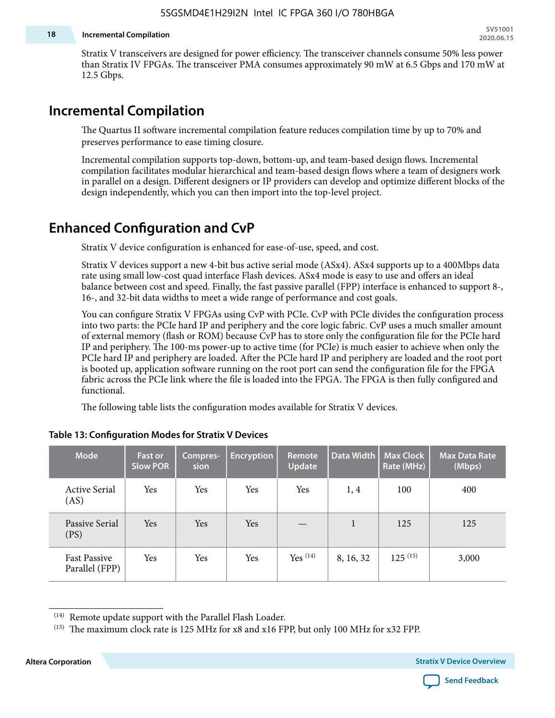#### **18 Incremental Compilation**

Stratix V transceivers are designed for power efficiency. The transceiver channels consume 50% less power than Stratix IV FPGAs. The transceiver PMA consumes approximately 90 mW at 6.5 Gbps and 170 mW at 12.5 Gbps.

### **Incremental Compilation**

The Quartus II software incremental compilation feature reduces compilation time by up to 70% and preserves performance to ease timing closure.

Incremental compilation supports top-down, bottom-up, and team-based design flows. Incremental compilation facilitates modular hierarchical and team-based design flows where a team of designers work in parallel on a design. Different designers or IP providers can develop and optimize different blocks of the design independently, which you can then import into the top-level project.

### **Enhanced Configuration and CvP**

Stratix V device configuration is enhanced for ease-of-use, speed, and cost.

Stratix V devices support a new 4-bit bus active serial mode (ASx4). ASx4 supports up to a 400Mbps data rate using small low-cost quad interface Flash devices. ASx4 mode is easy to use and offers an ideal balance between cost and speed. Finally, the fast passive parallel (FPP) interface is enhanced to support 8-, 16-, and 32-bit data widths to meet a wide range of performance and cost goals.

You can configure Stratix V FPGAs using CvP with PCIe. CvP with PCIe divides the configuration process into two parts: the PCIe hard IP and periphery and the core logic fabric. CvP uses a much smaller amount of external memory (flash or ROM) because CvP has to store only the configuration file for the PCIe hard IP and periphery. The 100-ms power-up to active time (for PCIe) is much easier to achieve when only the PCIe hard IP and periphery are loaded. After the PCIe hard IP and periphery are loaded and the root port is booted up, application software running on the root port can send the configuration file for the FPGA fabric across the PCIe link where the file is loaded into the FPGA. The FPGA is then fully configured and functional.

The following table lists the configuration modes available for Stratix V devices.

| <b>Mode</b>                           | <b>Fast or</b><br><b>Slow POR</b> | Compres-<br>sion | <b>Encryption</b> | Remote<br><b>Update</b> | Data Width | <b>Max Clock</b><br>Rate (MHz) | <b>Max Data Rate</b><br>(Mbps) |
|---------------------------------------|-----------------------------------|------------------|-------------------|-------------------------|------------|--------------------------------|--------------------------------|
| <b>Active Serial</b><br>(AS)          | Yes                               | Yes              | Yes               | Yes                     | 1, 4       | 100                            | 400                            |
| Passive Serial<br>(PS)                | Yes                               | Yes              | Yes               |                         | 1          | 125                            | 125                            |
| <b>Fast Passive</b><br>Parallel (FPP) | Yes                               | Yes              | Yes               | $Yes$ $(14)$            | 8, 16, 32  | $125^{(15)}$                   | 3,000                          |

#### **Table 13: Configuration Modes for Stratix V Devices**

**Altera Corporation Stratix V Device Overview**



<sup>(14)</sup> Remote update support with the Parallel Flash Loader.

<sup>&</sup>lt;sup>(15)</sup> The maximum clock rate is 125 MHz for x8 and x16 FPP, but only 100 MHz for x32 FPP.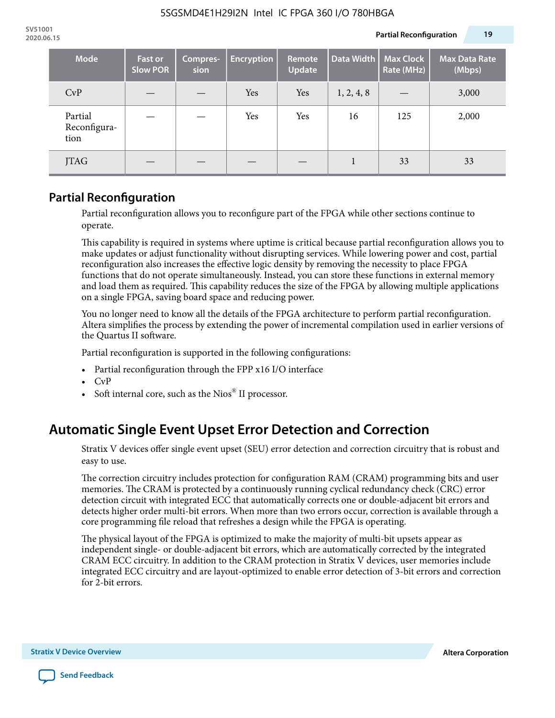| <b>Mode</b>                     | <b>Fast or</b><br><b>Slow POR</b> | Compres-<br>sion | <b>Encryption</b> | <b>Remote</b><br><b>Update</b> | Data Width | <b>Max Clock</b><br>Rate (MHz) | <b>Max Data Rate</b><br>(Mbps) |
|---------------------------------|-----------------------------------|------------------|-------------------|--------------------------------|------------|--------------------------------|--------------------------------|
| CvP                             |                                   |                  | Yes               | Yes                            | 1, 2, 4, 8 |                                | 3,000                          |
| Partial<br>Reconfigura-<br>tion |                                   |                  | Yes               | Yes                            | 16         | 125                            | 2,000                          |
| <b>JTAG</b>                     |                                   |                  |                   |                                |            | 33                             | 33                             |

### **Partial Reconfiguration**

Partial reconfiguration allows you to reconfigure part of the FPGA while other sections continue to operate.

This capability is required in systems where uptime is critical because partial reconfiguration allows you to make updates or adjust functionality without disrupting services. While lowering power and cost, partial reconfiguration also increases the effective logic density by removing the necessity to place FPGA functions that do not operate simultaneously. Instead, you can store these functions in external memory and load them as required. This capability reduces the size of the FPGA by allowing multiple applications on a single FPGA, saving board space and reducing power.

You no longer need to know all the details of the FPGA architecture to perform partial reconfiguration. Altera simplifies the process by extending the power of incremental compilation used in earlier versions of the Quartus II software.

Partial reconfiguration is supported in the following configurations:

- Partial reconfiguration through the FPP x16 I/O interface
- CvP
- Soft internal core, such as the Nios® II processor.

# **Automatic Single Event Upset Error Detection and Correction**

Stratix V devices offer single event upset (SEU) error detection and correction circuitry that is robust and easy to use.

The correction circuitry includes protection for configuration RAM (CRAM) programming bits and user memories. The CRAM is protected by a continuously running cyclical redundancy check (CRC) error detection circuit with integrated ECC that automatically corrects one or double-adjacent bit errors and detects higher order multi-bit errors. When more than two errors occur, correction is available through a core programming file reload that refreshes a design while the FPGA is operating.

The physical layout of the FPGA is optimized to make the majority of multi-bit upsets appear as independent single- or double-adjacent bit errors, which are automatically corrected by the integrated CRAM ECC circuitry. In addition to the CRAM protection in Stratix V devices, user memories include integrated ECC circuitry and are layout-optimized to enable error detection of 3-bit errors and correction for 2-bit errors.

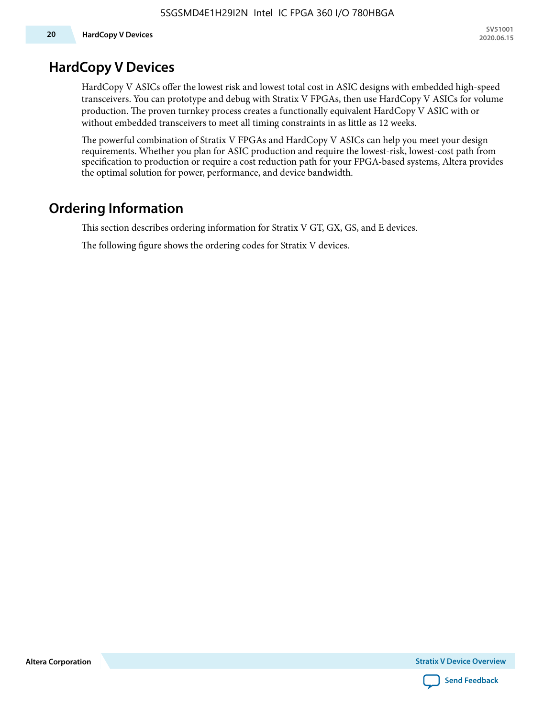### **HardCopy V Devices**

HardCopy V ASICs offer the lowest risk and lowest total cost in ASIC designs with embedded high-speed transceivers. You can prototype and debug with Stratix V FPGAs, then use HardCopy V ASICs for volume production. The proven turnkey process creates a functionally equivalent HardCopy V ASIC with or without embedded transceivers to meet all timing constraints in as little as 12 weeks.

The powerful combination of Stratix V FPGAs and HardCopy V ASICs can help you meet your design requirements. Whether you plan for ASIC production and require the lowest-risk, lowest-cost path from specification to production or require a cost reduction path for your FPGA-based systems, Altera provides the optimal solution for power, performance, and device bandwidth.

### **Ordering Information**

This section describes ordering information for Stratix V GT, GX, GS, and E devices.

The following figure shows the ordering codes for Stratix V devices.

**Altera Corporation** 

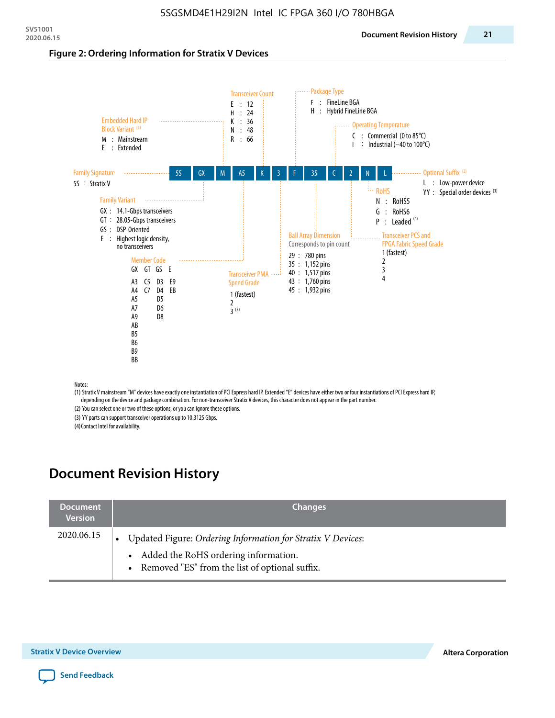#### **Figure 2: Ordering Information for Stratix V Devices**



(1) Stratix V mainstream "M" devices have exactly one instantiation of PCI Express hard IP. Extended "E" devices have either two or four instantiations of PCI Express hard IP, depending on the device and package combination. For non-transceiver Stratix V devices, this character does not appear in the part number.

(2) You can select one or two of these options, or you can ignore these options.

(3) YY parts can support transceiver operations up to 10.3125 Gbps.

(4) Contact Intel for availability.

# **Document Revision History**

| <b>Document</b><br><b>Version</b> | <b>Changes</b>                                                                                                                                            |
|-----------------------------------|-----------------------------------------------------------------------------------------------------------------------------------------------------------|
| 2020.06.15                        | Updated Figure: Ordering Information for Stratix V Devices:<br>• Added the RoHS ordering information.<br>• Removed "ES" from the list of optional suffix. |

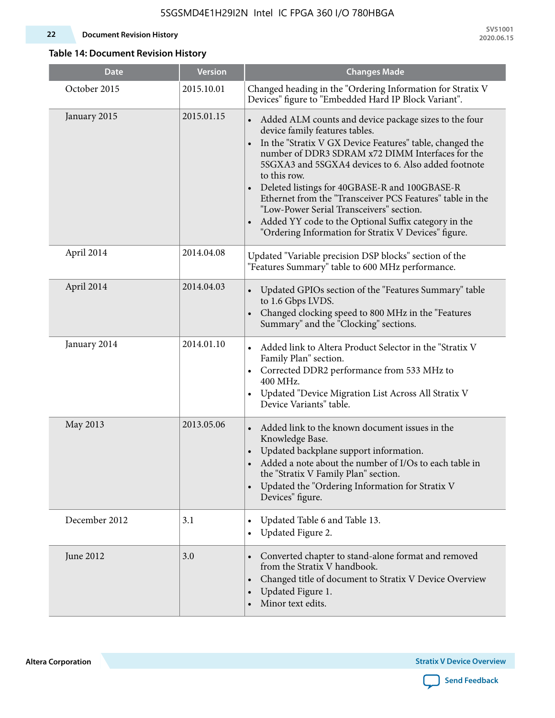#### **22 Document Revision History**

**SV51001 2020.06.15**

### **Table 14: Document Revision History**

| <b>Date</b>   | <b>Version</b> | <b>Changes Made</b>                                                                                                                                                                                                                                                                                                                                                                                                                                                                                                                                                                |
|---------------|----------------|------------------------------------------------------------------------------------------------------------------------------------------------------------------------------------------------------------------------------------------------------------------------------------------------------------------------------------------------------------------------------------------------------------------------------------------------------------------------------------------------------------------------------------------------------------------------------------|
| October 2015  | 2015.10.01     | Changed heading in the "Ordering Information for Stratix V<br>Devices" figure to "Embedded Hard IP Block Variant".                                                                                                                                                                                                                                                                                                                                                                                                                                                                 |
| January 2015  | 2015.01.15     | Added ALM counts and device package sizes to the four<br>device family features tables.<br>In the "Stratix V GX Device Features" table, changed the<br>$\bullet$<br>number of DDR3 SDRAM x72 DIMM Interfaces for the<br>5SGXA3 and 5SGXA4 devices to 6. Also added footnote<br>to this row.<br>Deleted listings for 40GBASE-R and 100GBASE-R<br>Ethernet from the "Transceiver PCS Features" table in the<br>"Low-Power Serial Transceivers" section.<br>Added YY code to the Optional Suffix category in the<br>$\bullet$<br>"Ordering Information for Stratix V Devices" figure. |
| April 2014    | 2014.04.08     | Updated "Variable precision DSP blocks" section of the<br>"Features Summary" table to 600 MHz performance.                                                                                                                                                                                                                                                                                                                                                                                                                                                                         |
| April 2014    | 2014.04.03     | Updated GPIOs section of the "Features Summary" table<br>to 1.6 Gbps LVDS.<br>Changed clocking speed to 800 MHz in the "Features<br>Summary" and the "Clocking" sections.                                                                                                                                                                                                                                                                                                                                                                                                          |
| January 2014  | 2014.01.10     | Added link to Altera Product Selector in the "Stratix V<br>Family Plan" section.<br>Corrected DDR2 performance from 533 MHz to<br>$\bullet$<br>400 MHz.<br>Updated "Device Migration List Across All Stratix V<br>Device Variants" table.                                                                                                                                                                                                                                                                                                                                          |
| May 2013      | 2013.05.06     | Added link to the known document issues in the<br>$\bullet$<br>Knowledge Base.<br>Updated backplane support information.<br>Added a note about the number of I/Os to each table in<br>the "Stratix V Family Plan" section.<br>Updated the "Ordering Information for Stratix V<br>$\bullet$<br>Devices" figure.                                                                                                                                                                                                                                                                     |
| December 2012 | 3.1            | Updated Table 6 and Table 13.<br>Updated Figure 2.<br>$\bullet$                                                                                                                                                                                                                                                                                                                                                                                                                                                                                                                    |
| June 2012     | 3.0            | Converted chapter to stand-alone format and removed<br>from the Stratix V handbook.<br>Changed title of document to Stratix V Device Overview<br>$\bullet$<br>Updated Figure 1.<br>$\bullet$<br>Minor text edits.                                                                                                                                                                                                                                                                                                                                                                  |

**Altera Corporation** 

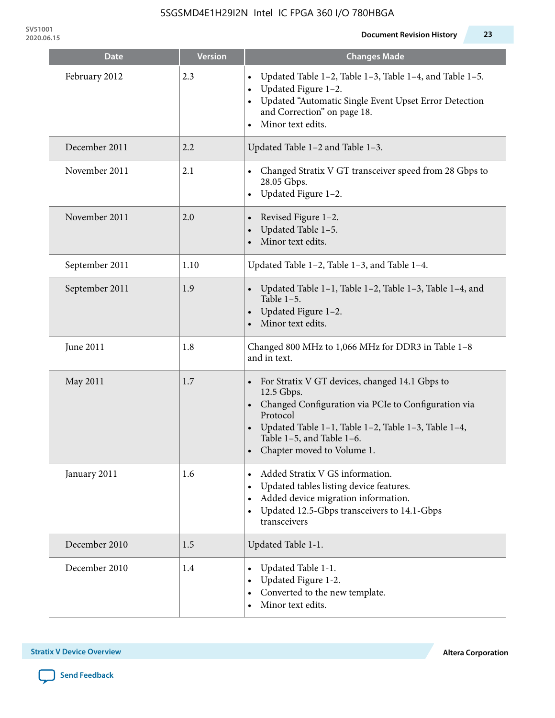**SV51001**

| <b>Date</b>    | <b>Version</b> | <b>Changes Made</b>                                                                                                                                                                                                                                 |
|----------------|----------------|-----------------------------------------------------------------------------------------------------------------------------------------------------------------------------------------------------------------------------------------------------|
| February 2012  | 2.3            | Updated Table 1-2, Table 1-3, Table 1-4, and Table 1-5.<br>Updated Figure 1-2.<br>Updated "Automatic Single Event Upset Error Detection<br>and Correction" on page 18.<br>Minor text edits.                                                         |
| December 2011  | 2.2            | Updated Table 1-2 and Table 1-3.                                                                                                                                                                                                                    |
| November 2011  | 2.1            | Changed Stratix V GT transceiver speed from 28 Gbps to<br>28.05 Gbps.<br>Updated Figure 1-2.<br>$\bullet$                                                                                                                                           |
| November 2011  | 2.0            | Revised Figure 1-2.<br>Updated Table 1-5.<br>Minor text edits.                                                                                                                                                                                      |
| September 2011 | 1.10           | Updated Table 1-2, Table 1-3, and Table 1-4.                                                                                                                                                                                                        |
| September 2011 | 1.9            | Updated Table 1-1, Table 1-2, Table 1-3, Table 1-4, and<br>Table $1-5$ .<br>Updated Figure 1-2.<br>Minor text edits.                                                                                                                                |
| June 2011      | 1.8            | Changed 800 MHz to 1,066 MHz for DDR3 in Table 1-8<br>and in text.                                                                                                                                                                                  |
| May 2011       | 1.7            | For Stratix V GT devices, changed 14.1 Gbps to<br>12.5 Gbps.<br>• Changed Configuration via PCIe to Configuration via<br>Protocol<br>Updated Table 1-1, Table 1-2, Table 1-3, Table 1-4,<br>Table 1-5, and Table 1-6.<br>Chapter moved to Volume 1. |
| January 2011   | 1.6            | Added Stratix V GS information.<br>Updated tables listing device features.<br>Added device migration information.<br>$\bullet$<br>Updated 12.5-Gbps transceivers to 14.1-Gbps<br>$\bullet$<br>transceivers                                          |
| December 2010  | 1.5            | Updated Table 1-1.                                                                                                                                                                                                                                  |
| December 2010  | 1.4            | Updated Table 1-1.<br>Updated Figure 1-2.<br>Converted to the new template.<br>Minor text edits.                                                                                                                                                    |

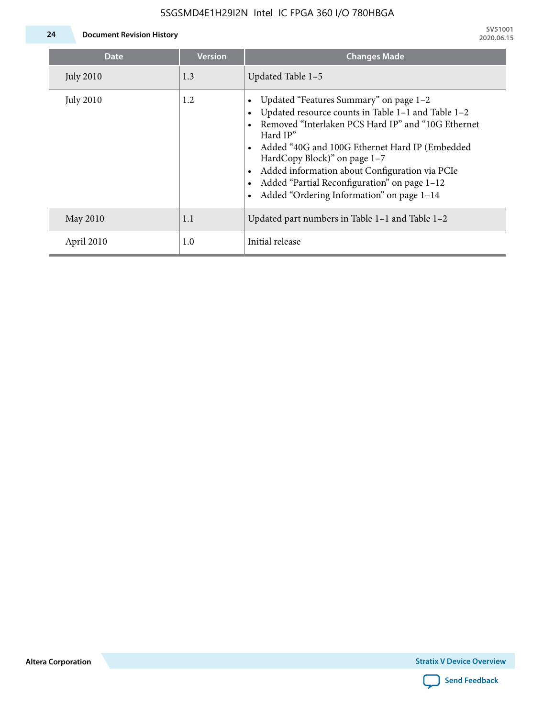

**24 Document Revision History**

| <b>Date</b>      | <b>Version</b> | <b>Changes Made</b>                                                                                                                                                                                                                                                                                                                                                                             |
|------------------|----------------|-------------------------------------------------------------------------------------------------------------------------------------------------------------------------------------------------------------------------------------------------------------------------------------------------------------------------------------------------------------------------------------------------|
| <b>July 2010</b> | 1.3            | Updated Table 1-5                                                                                                                                                                                                                                                                                                                                                                               |
| <b>July 2010</b> | 1.2            | Updated "Features Summary" on page 1-2<br>Updated resource counts in Table 1-1 and Table 1-2<br>Removed "Interlaken PCS Hard IP" and "10G Ethernet<br>Hard IP"<br>Added "40G and 100G Ethernet Hard IP (Embedded<br>HardCopy Block)" on page 1-7<br>Added information about Configuration via PCIe<br>Added "Partial Reconfiguration" on page 1-12<br>Added "Ordering Information" on page 1-14 |
| May 2010         | 1.1            | Updated part numbers in Table $1-1$ and Table $1-2$                                                                                                                                                                                                                                                                                                                                             |
| April 2010       | 1.0            | Initial release                                                                                                                                                                                                                                                                                                                                                                                 |

**Altera Corporation**